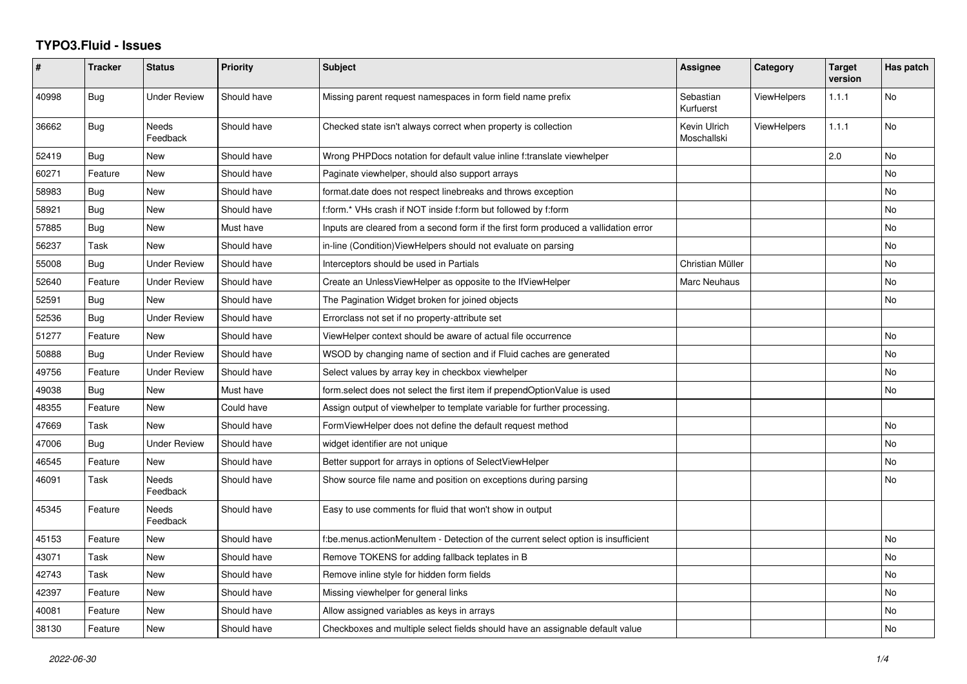## **TYPO3.Fluid - Issues**

| $\pmb{\#}$ | <b>Tracker</b> | <b>Status</b>            | <b>Priority</b> | <b>Subject</b>                                                                       | Assignee                    | Category           | <b>Target</b><br>version | Has patch |
|------------|----------------|--------------------------|-----------------|--------------------------------------------------------------------------------------|-----------------------------|--------------------|--------------------------|-----------|
| 40998      | Bug            | <b>Under Review</b>      | Should have     | Missing parent request namespaces in form field name prefix                          | Sebastian<br>Kurfuerst      | <b>ViewHelpers</b> | 1.1.1                    | No        |
| 36662      | Bug            | <b>Needs</b><br>Feedback | Should have     | Checked state isn't always correct when property is collection                       | Kevin Ulrich<br>Moschallski | <b>ViewHelpers</b> | 1.1.1                    | No        |
| 52419      | <b>Bug</b>     | New                      | Should have     | Wrong PHPDocs notation for default value inline f:translate viewhelper               |                             |                    | 2.0                      | No        |
| 60271      | Feature        | New                      | Should have     | Paginate viewhelper, should also support arrays                                      |                             |                    |                          | <b>No</b> |
| 58983      | Bug            | <b>New</b>               | Should have     | format.date does not respect linebreaks and throws exception                         |                             |                    |                          | No        |
| 58921      | Bug            | <b>New</b>               | Should have     | f:form.* VHs crash if NOT inside f:form but followed by f:form                       |                             |                    |                          | <b>No</b> |
| 57885      | Bug            | New                      | Must have       | Inputs are cleared from a second form if the first form produced a vallidation error |                             |                    |                          | No        |
| 56237      | Task           | <b>New</b>               | Should have     | in-line (Condition) View Helpers should not evaluate on parsing                      |                             |                    |                          | <b>No</b> |
| 55008      | Bug            | <b>Under Review</b>      | Should have     | Interceptors should be used in Partials                                              | Christian Müller            |                    |                          | No        |
| 52640      | Feature        | <b>Under Review</b>      | Should have     | Create an UnlessViewHelper as opposite to the IfViewHelper                           | Marc Neuhaus                |                    |                          | <b>No</b> |
| 52591      | Bug            | <b>New</b>               | Should have     | The Pagination Widget broken for joined objects                                      |                             |                    |                          | No        |
| 52536      | Bug            | <b>Under Review</b>      | Should have     | Errorclass not set if no property-attribute set                                      |                             |                    |                          |           |
| 51277      | Feature        | New                      | Should have     | ViewHelper context should be aware of actual file occurrence                         |                             |                    |                          | No        |
| 50888      | Bug            | <b>Under Review</b>      | Should have     | WSOD by changing name of section and if Fluid caches are generated                   |                             |                    |                          | <b>No</b> |
| 49756      | Feature        | <b>Under Review</b>      | Should have     | Select values by array key in checkbox viewhelper                                    |                             |                    |                          | No        |
| 49038      | Bug            | New                      | Must have       | form select does not select the first item if prependOptionValue is used             |                             |                    |                          | <b>No</b> |
| 48355      | Feature        | New                      | Could have      | Assign output of viewhelper to template variable for further processing.             |                             |                    |                          |           |
| 47669      | Task           | <b>New</b>               | Should have     | FormViewHelper does not define the default request method                            |                             |                    |                          | <b>No</b> |
| 47006      | Bug            | <b>Under Review</b>      | Should have     | widget identifier are not unique                                                     |                             |                    |                          | No        |
| 46545      | Feature        | <b>New</b>               | Should have     | Better support for arrays in options of SelectViewHelper                             |                             |                    |                          | <b>No</b> |
| 46091      | Task           | Needs<br>Feedback        | Should have     | Show source file name and position on exceptions during parsing                      |                             |                    |                          | No        |
| 45345      | Feature        | Needs<br>Feedback        | Should have     | Easy to use comments for fluid that won't show in output                             |                             |                    |                          |           |
| 45153      | Feature        | New                      | Should have     | f:be.menus.actionMenuItem - Detection of the current select option is insufficient   |                             |                    |                          | No        |
| 43071      | Task           | <b>New</b>               | Should have     | Remove TOKENS for adding fallback teplates in B                                      |                             |                    |                          | <b>No</b> |
| 42743      | Task           | New                      | Should have     | Remove inline style for hidden form fields                                           |                             |                    |                          | No        |
| 42397      | Feature        | New                      | Should have     | Missing viewhelper for general links                                                 |                             |                    |                          | No        |
| 40081      | Feature        | New                      | Should have     | Allow assigned variables as keys in arrays                                           |                             |                    |                          | No        |
| 38130      | Feature        | New                      | Should have     | Checkboxes and multiple select fields should have an assignable default value        |                             |                    |                          | <b>No</b> |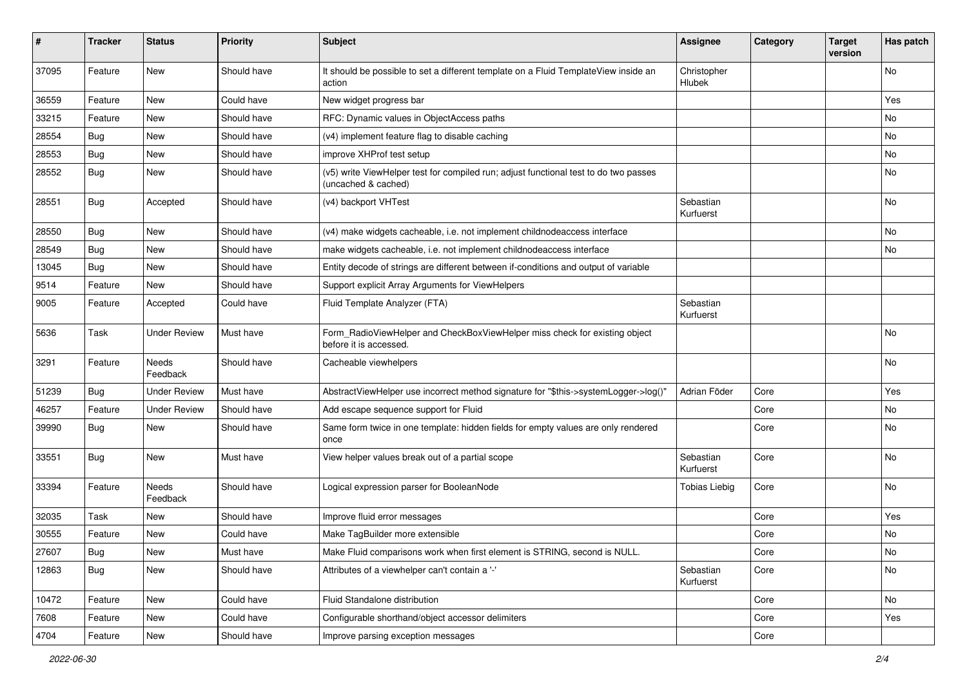| ∦     | <b>Tracker</b> | <b>Status</b>       | <b>Priority</b> | Subject                                                                                                     | <b>Assignee</b>        | Category | <b>Target</b><br>version | Has patch |
|-------|----------------|---------------------|-----------------|-------------------------------------------------------------------------------------------------------------|------------------------|----------|--------------------------|-----------|
| 37095 | Feature        | New                 | Should have     | It should be possible to set a different template on a Fluid TemplateView inside an<br>action               | Christopher<br>Hlubek  |          |                          | No        |
| 36559 | Feature        | New                 | Could have      | New widget progress bar                                                                                     |                        |          |                          | Yes       |
| 33215 | Feature        | New                 | Should have     | RFC: Dynamic values in ObjectAccess paths                                                                   |                        |          |                          | No        |
| 28554 | Bug            | New                 | Should have     | (v4) implement feature flag to disable caching                                                              |                        |          |                          | No        |
| 28553 | Bug            | <b>New</b>          | Should have     | improve XHProf test setup                                                                                   |                        |          |                          | No        |
| 28552 | Bug            | New                 | Should have     | (v5) write ViewHelper test for compiled run; adjust functional test to do two passes<br>(uncached & cached) |                        |          |                          | No        |
| 28551 | <b>Bug</b>     | Accepted            | Should have     | (v4) backport VHTest                                                                                        | Sebastian<br>Kurfuerst |          |                          | No        |
| 28550 | Bug            | New                 | Should have     | (v4) make widgets cacheable, i.e. not implement childnodeaccess interface                                   |                        |          |                          | No        |
| 28549 | <b>Bug</b>     | New                 | Should have     | make widgets cacheable, i.e. not implement childnodeaccess interface                                        |                        |          |                          | No        |
| 13045 | Bug            | New                 | Should have     | Entity decode of strings are different between if-conditions and output of variable                         |                        |          |                          |           |
| 9514  | Feature        | <b>New</b>          | Should have     | Support explicit Array Arguments for ViewHelpers                                                            |                        |          |                          |           |
| 9005  | Feature        | Accepted            | Could have      | Fluid Template Analyzer (FTA)                                                                               | Sebastian<br>Kurfuerst |          |                          |           |
| 5636  | Task           | <b>Under Review</b> | Must have       | Form RadioViewHelper and CheckBoxViewHelper miss check for existing object<br>before it is accessed.        |                        |          |                          | No        |
| 3291  | Feature        | Needs<br>Feedback   | Should have     | Cacheable viewhelpers                                                                                       |                        |          |                          | No        |
| 51239 | Bug            | <b>Under Review</b> | Must have       | AbstractViewHelper use incorrect method signature for "\$this->systemLogger->log()"                         | Adrian Föder           | Core     |                          | Yes       |
| 46257 | Feature        | <b>Under Review</b> | Should have     | Add escape sequence support for Fluid                                                                       |                        | Core     |                          | No        |
| 39990 | Bug            | New                 | Should have     | Same form twice in one template: hidden fields for empty values are only rendered<br>once                   |                        | Core     |                          | No        |
| 33551 | <b>Bug</b>     | <b>New</b>          | Must have       | View helper values break out of a partial scope                                                             | Sebastian<br>Kurfuerst | Core     |                          | No        |
| 33394 | Feature        | Needs<br>Feedback   | Should have     | Logical expression parser for BooleanNode                                                                   | <b>Tobias Liebig</b>   | Core     |                          | No        |
| 32035 | Task           | New                 | Should have     | Improve fluid error messages                                                                                |                        | Core     |                          | Yes       |
| 30555 | Feature        | New                 | Could have      | Make TagBuilder more extensible                                                                             |                        | Core     |                          | No        |
| 27607 | <b>Bug</b>     | New                 | Must have       | Make Fluid comparisons work when first element is STRING, second is NULL.                                   |                        | Core     |                          | No        |
| 12863 | Bug            | New                 | Should have     | Attributes of a viewhelper can't contain a '-'                                                              | Sebastian<br>Kurfuerst | Core     |                          | No        |
| 10472 | Feature        | New                 | Could have      | Fluid Standalone distribution                                                                               |                        | Core     |                          | No        |
| 7608  | Feature        | New                 | Could have      | Configurable shorthand/object accessor delimiters                                                           |                        | Core     |                          | Yes       |
| 4704  | Feature        | New                 | Should have     | Improve parsing exception messages                                                                          |                        | Core     |                          |           |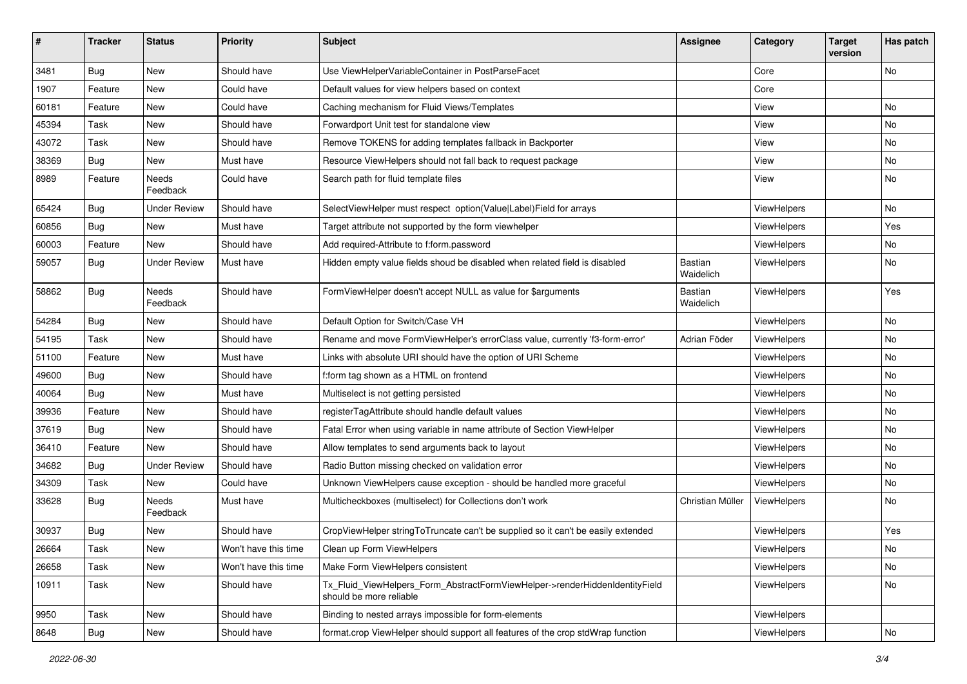| #     | <b>Tracker</b>   | <b>Status</b>            | <b>Priority</b>      | Subject                                                                                                | Assignee                    | Category           | <b>Target</b><br>version | Has patch |
|-------|------------------|--------------------------|----------------------|--------------------------------------------------------------------------------------------------------|-----------------------------|--------------------|--------------------------|-----------|
| 3481  | Bug              | New                      | Should have          | Use ViewHelperVariableContainer in PostParseFacet                                                      |                             | Core               |                          | No        |
| 1907  | Feature          | New                      | Could have           | Default values for view helpers based on context                                                       |                             | Core               |                          |           |
| 60181 | Feature          | New                      | Could have           | Caching mechanism for Fluid Views/Templates                                                            |                             | View               |                          | No        |
| 45394 | Task             | New                      | Should have          | Forwardport Unit test for standalone view                                                              |                             | View               |                          | No        |
| 43072 | Task             | New                      | Should have          | Remove TOKENS for adding templates fallback in Backporter                                              |                             | View               |                          | No        |
| 38369 | Bug              | New                      | Must have            | Resource ViewHelpers should not fall back to request package                                           |                             | View               |                          | No        |
| 8989  | Feature          | Needs<br>Feedback        | Could have           | Search path for fluid template files                                                                   |                             | View               |                          | No        |
| 65424 | Bug              | <b>Under Review</b>      | Should have          | SelectViewHelper must respect option(Value Label)Field for arrays                                      |                             | ViewHelpers        |                          | No        |
| 60856 | <b>Bug</b>       | New                      | Must have            | Target attribute not supported by the form viewhelper                                                  |                             | <b>ViewHelpers</b> |                          | Yes       |
| 60003 | Feature          | New                      | Should have          | Add required-Attribute to f:form.password                                                              |                             | ViewHelpers        |                          | No        |
| 59057 | <b>Bug</b>       | <b>Under Review</b>      | Must have            | Hidden empty value fields shoud be disabled when related field is disabled                             | <b>Bastian</b><br>Waidelich | ViewHelpers        |                          | No        |
| 58862 | <b>Bug</b>       | <b>Needs</b><br>Feedback | Should have          | FormViewHelper doesn't accept NULL as value for \$arguments                                            | Bastian<br>Waidelich        | ViewHelpers        |                          | Yes       |
| 54284 | <b>Bug</b>       | New                      | Should have          | Default Option for Switch/Case VH                                                                      |                             | ViewHelpers        |                          | No        |
| 54195 | Task             | New                      | Should have          | Rename and move FormViewHelper's errorClass value, currently 'f3-form-error'                           | Adrian Föder                | ViewHelpers        |                          | No        |
| 51100 | Feature          | New                      | Must have            | Links with absolute URI should have the option of URI Scheme                                           |                             | <b>ViewHelpers</b> |                          | No        |
| 49600 | <b>Bug</b>       | New                      | Should have          | f:form tag shown as a HTML on frontend                                                                 |                             | ViewHelpers        |                          | No        |
| 40064 | Bug              | New                      | Must have            | Multiselect is not getting persisted                                                                   |                             | ViewHelpers        |                          | No        |
| 39936 | Feature          | New                      | Should have          | registerTagAttribute should handle default values                                                      |                             | ViewHelpers        |                          | No        |
| 37619 | Bug              | New                      | Should have          | Fatal Error when using variable in name attribute of Section ViewHelper                                |                             | ViewHelpers        |                          | No        |
| 36410 | Feature          | New                      | Should have          | Allow templates to send arguments back to layout                                                       |                             | ViewHelpers        |                          | No        |
| 34682 | <b>Bug</b>       | <b>Under Review</b>      | Should have          | Radio Button missing checked on validation error                                                       |                             | ViewHelpers        |                          | No        |
| 34309 | Task             | New                      | Could have           | Unknown ViewHelpers cause exception - should be handled more graceful                                  |                             | ViewHelpers        |                          | No        |
| 33628 | <b>Bug</b>       | Needs<br>Feedback        | Must have            | Multicheckboxes (multiselect) for Collections don't work                                               | Christian Müller            | ViewHelpers        |                          | No        |
| 30937 | <b>Bug</b>       | New                      | Should have          | CropViewHelper stringToTruncate can't be supplied so it can't be easily extended                       |                             | ViewHelpers        |                          | Yes       |
| 26664 | Task             | New                      | Won't have this time | Clean up Form ViewHelpers                                                                              |                             | ViewHelpers        |                          | NO.       |
| 26658 | Task             | New                      | Won't have this time | Make Form ViewHelpers consistent                                                                       |                             | ViewHelpers        |                          | No        |
| 10911 | Task             | New                      | Should have          | Tx Fluid ViewHelpers Form AbstractFormViewHelper->renderHiddenIdentityField<br>should be more reliable |                             | ViewHelpers        |                          | No        |
| 9950  | Task             | New                      | Should have          | Binding to nested arrays impossible for form-elements                                                  |                             | ViewHelpers        |                          |           |
| 8648  | <sub>i</sub> Bug | New                      | Should have          | format.crop ViewHelper should support all features of the crop stdWrap function                        |                             | ViewHelpers        |                          | No        |